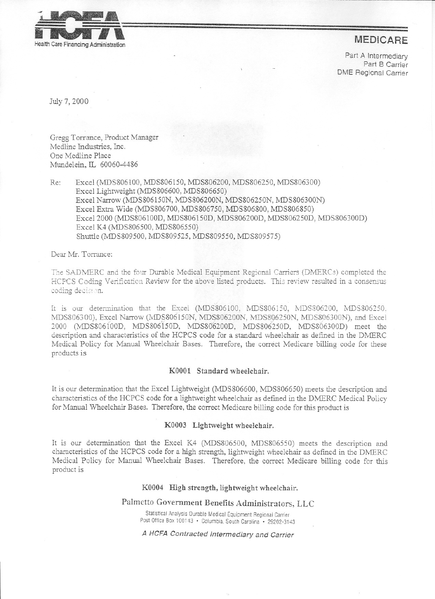

# **MEDICARE**

Part A Intermediary Part B Carrier DME Regional Carrier

July 7, 2000

Gregg Torrance, Product Manager Medline Industries, Inc. One Medline Place Mundelein, IL 60060-4486

Re: Excel (MDS806100, MDS806150, MDS806200, MDS806250, MDS806300) Excel Lightweight (NIDS806600, NIDS806650) Excel Narrow (MDS806150N, MDS806200N, MDS806250N, MDS806300N) Excel Extra Wide (MDS806700, MDS806750, MDS806800, MDS806850) Excel 2000 (MDS806100D, MDS806150D, MDS806200D, MDS806250D, MDS806300D) Excel K4 (MDS806500, MDS806550) Shuttle (MDS809500, MDS809525, MDS809550, MDS809575)

Dear Mr. Torrance:

The SADMERC and the four Durable Medical Equipment Regional Carriers (DMERCs) completed the HCPCS Coding Verification Review for the above listed products. This review resulted in a consensus coding decision.

It is our determination that the Excel (MDS806100, MDS806150, MDS806200, MDS806250, MDS806300), Excel Narrow (MDS806150N, MDS806200N, MDS806250N, MDS806300N), and Excel 2000 (IvlDS806100D, MDS806150D, MDSSd'6200D, MDS806250D, MDS806300D) meet the description and characteristics of the HCPCS code for a standard wheelchair as defined in the DMERC Medical Policy for Manual Wheelchair Bases. Therefore, the correct Medicare billing code for these products is

#### KOOOI Standard wheelchair.

It is our determination that the Excel Lightweight (MDS806600, MDS806650) meets the description and characteristics of the HCPCS code for a lightweight wheelchair as defmed in the DNIERC Medical Policy for Manual Wheelchair Bases. Therefore, the correct Medicare billing code for this product is

#### KOOO3 Lightweight wheelchair.

It is our determination that the Excel K4 (MDS806500, NIDS806550) meets the description and characteristics of the HCPCS code for a high strength, lightweight wheelchair as defmed in the DMERC Medical Policy for Manual Wheelchair Bases. Therefore, the correct Medicare billing code for this product is

#### KOOO4 High strength, lightweight wheelchair.

Palmetto Government Benefits Administrators, LLC

Statistical Analysis Durable Medical Equipment Regional Carrier Post Office Box 100143 . Columbia, South Carolina . 29202-3143

## A HCFA *Contracted Intermediary and Carrier*